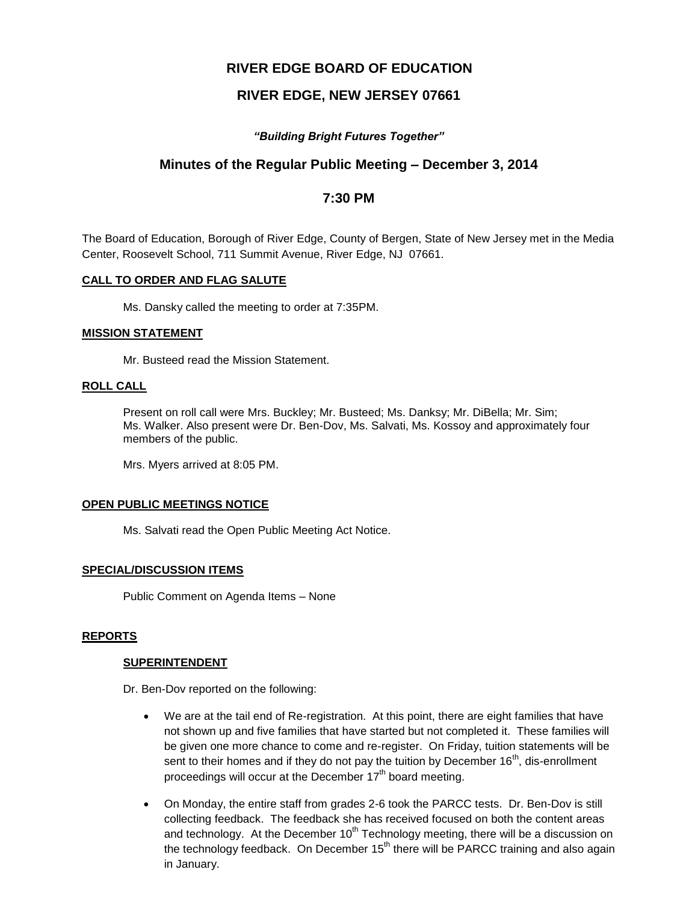# **RIVER EDGE BOARD OF EDUCATION**

# **RIVER EDGE, NEW JERSEY 07661**

## *"Building Bright Futures Together"*

# **Minutes of the Regular Public Meeting – December 3, 2014**

## **7:30 PM**

The Board of Education, Borough of River Edge, County of Bergen, State of New Jersey met in the Media Center, Roosevelt School, 711 Summit Avenue, River Edge, NJ 07661.

### **CALL TO ORDER AND FLAG SALUTE**

Ms. Dansky called the meeting to order at 7:35PM.

#### **MISSION STATEMENT**

Mr. Busteed read the Mission Statement.

### **ROLL CALL**

Present on roll call were Mrs. Buckley; Mr. Busteed; Ms. Danksy; Mr. DiBella; Mr. Sim; Ms. Walker. Also present were Dr. Ben-Dov, Ms. Salvati, Ms. Kossoy and approximately four members of the public.

Mrs. Myers arrived at 8:05 PM.

#### **OPEN PUBLIC MEETINGS NOTICE**

Ms. Salvati read the Open Public Meeting Act Notice.

## **SPECIAL/DISCUSSION ITEMS**

Public Comment on Agenda Items – None

#### **REPORTS**

#### **SUPERINTENDENT**

Dr. Ben-Dov reported on the following:

- We are at the tail end of Re-registration. At this point, there are eight families that have not shown up and five families that have started but not completed it. These families will be given one more chance to come and re-register. On Friday, tuition statements will be sent to their homes and if they do not pay the tuition by December 16<sup>th</sup>, dis-enrollment proceedings will occur at the December  $17<sup>th</sup>$  board meeting.
- On Monday, the entire staff from grades 2-6 took the PARCC tests. Dr. Ben-Dov is still collecting feedback. The feedback she has received focused on both the content areas and technology. At the December  $10<sup>th</sup>$  Technology meeting, there will be a discussion on the technology feedback. On December  $15<sup>th</sup>$  there will be PARCC training and also again in January.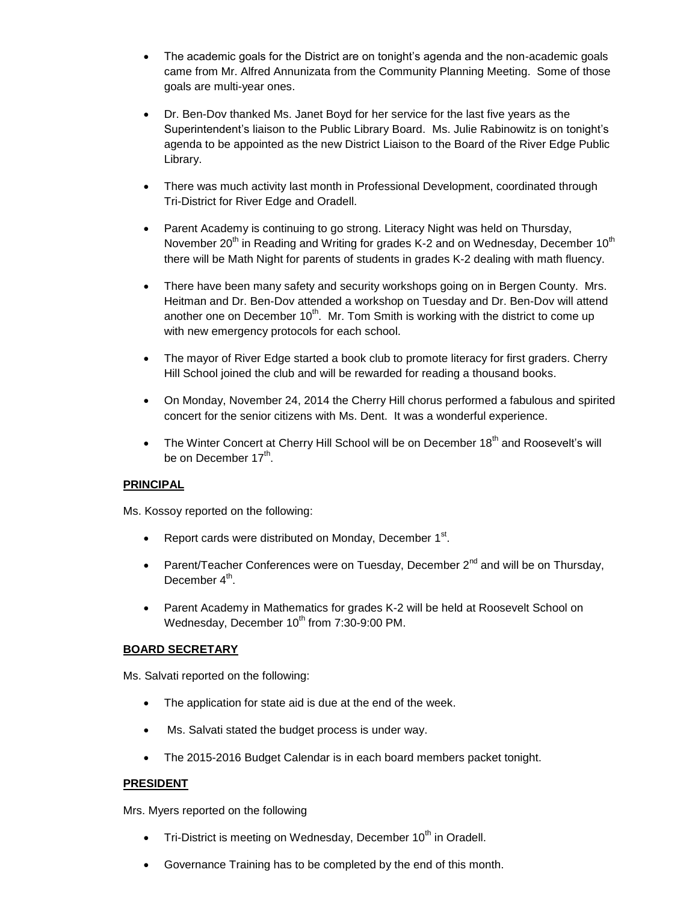- The academic goals for the District are on tonight's agenda and the non-academic goals came from Mr. Alfred Annunizata from the Community Planning Meeting. Some of those goals are multi-year ones.
- Dr. Ben-Dov thanked Ms. Janet Boyd for her service for the last five years as the Superintendent's liaison to the Public Library Board. Ms. Julie Rabinowitz is on tonight's agenda to be appointed as the new District Liaison to the Board of the River Edge Public Library.
- There was much activity last month in Professional Development, coordinated through Tri-District for River Edge and Oradell.
- Parent Academy is continuing to go strong. Literacy Night was held on Thursday, November 20<sup>th</sup> in Reading and Writing for grades K-2 and on Wednesday, December 10<sup>th</sup> there will be Math Night for parents of students in grades K-2 dealing with math fluency.
- There have been many safety and security workshops going on in Bergen County. Mrs. Heitman and Dr. Ben-Dov attended a workshop on Tuesday and Dr. Ben-Dov will attend another one on December  $10^{th}$ . Mr. Tom Smith is working with the district to come up with new emergency protocols for each school.
- The mayor of River Edge started a book club to promote literacy for first graders. Cherry Hill School joined the club and will be rewarded for reading a thousand books.
- On Monday, November 24, 2014 the Cherry Hill chorus performed a fabulous and spirited concert for the senior citizens with Ms. Dent. It was a wonderful experience.
- The Winter Concert at Cherry Hill School will be on December  $18<sup>th</sup>$  and Roosevelt's will be on December 17<sup>th</sup>.

## **PRINCIPAL**

Ms. Kossoy reported on the following:

- Report cards were distributed on Monday, December  $1<sup>st</sup>$ .
- Parent/Teacher Conferences were on Tuesday, December  $2^{nd}$  and will be on Thursday, December 4<sup>th</sup>.
- Parent Academy in Mathematics for grades K-2 will be held at Roosevelt School on Wednesday, December 10<sup>th</sup> from 7:30-9:00 PM.

## **BOARD SECRETARY**

Ms. Salvati reported on the following:

- The application for state aid is due at the end of the week.
- Ms. Salvati stated the budget process is under way.
- The 2015-2016 Budget Calendar is in each board members packet tonight.

#### **PRESIDENT**

Mrs. Myers reported on the following

- $\bullet$  Tri-District is meeting on Wednesday, December 10<sup>th</sup> in Oradell.
- Governance Training has to be completed by the end of this month.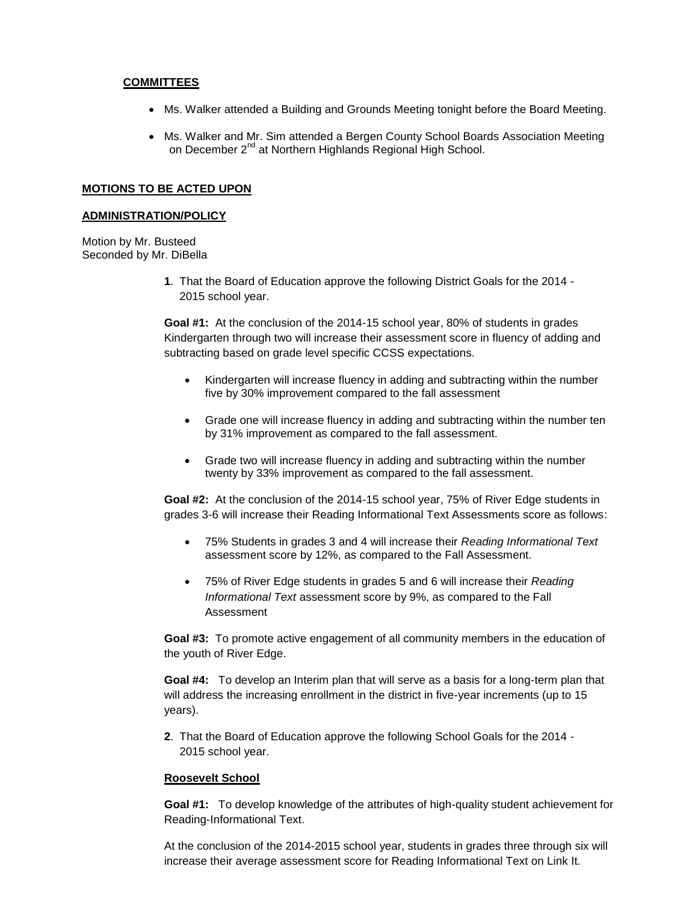#### **COMMITTEES**

- Ms. Walker attended a Building and Grounds Meeting tonight before the Board Meeting.
- Ms. Walker and Mr. Sim attended a Bergen County School Boards Association Meeting on December 2<sup>nd</sup> at Northern Highlands Regional High School.

#### **MOTIONS TO BE ACTED UPON**

#### **ADMINISTRATION/POLICY**

Motion by Mr. Busteed Seconded by Mr. DiBella

> **1**. That the Board of Education approve the following District Goals for the 2014 - 2015 school year.

**Goal #1:** At the conclusion of the 2014-15 school year, 80% of students in grades Kindergarten through two will increase their assessment score in fluency of adding and subtracting based on grade level specific CCSS expectations.

- Kindergarten will increase fluency in adding and subtracting within the number five by 30% improvement compared to the fall assessment
- Grade one will increase fluency in adding and subtracting within the number ten by 31% improvement as compared to the fall assessment.
- Grade two will increase fluency in adding and subtracting within the number twenty by 33% improvement as compared to the fall assessment.

**Goal #2:** At the conclusion of the 2014-15 school year, 75% of River Edge students in grades 3-6 will increase their Reading Informational Text Assessments score as follows:

- 75% Students in grades 3 and 4 will increase their *Reading Informational Text* assessment score by 12%, as compared to the Fall Assessment.
- 75% of River Edge students in grades 5 and 6 will increase their *Reading Informational Text* assessment score by 9%, as compared to the Fall Assessment

**Goal #3:** To promote active engagement of all community members in the education of the youth of River Edge.

**Goal #4:** To develop an Interim plan that will serve as a basis for a long-term plan that will address the increasing enrollment in the district in five-year increments (up to 15 years).

**2**. That the Board of Education approve the following School Goals for the 2014 - 2015 school year.

#### **Roosevelt School**

**Goal #1:** To develop knowledge of the attributes of high-quality student achievement for Reading-Informational Text.

At the conclusion of the 2014-2015 school year, students in grades three through six will increase their average assessment score for Reading Informational Text on Link It.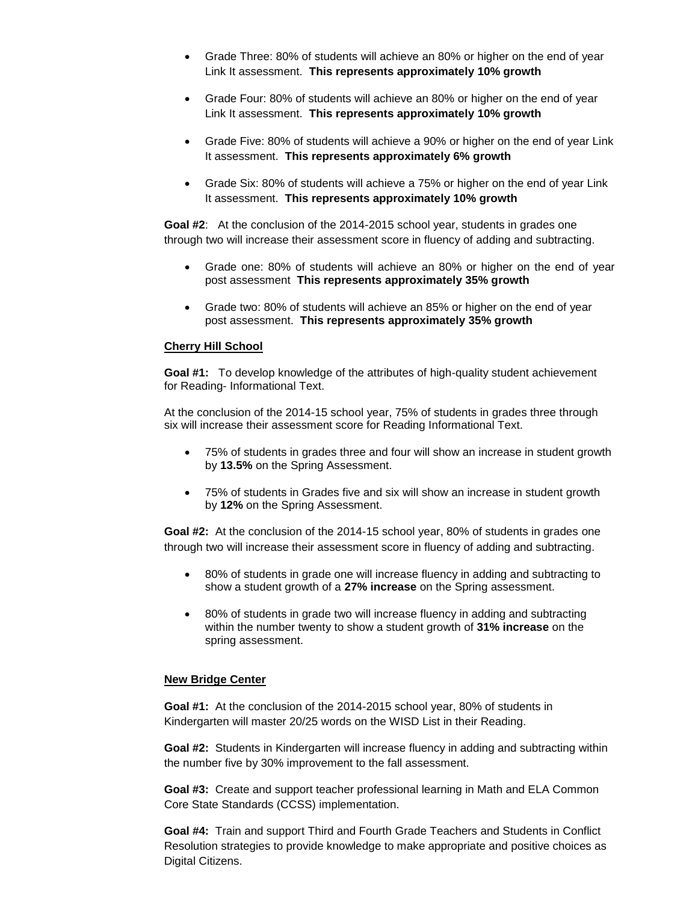- Grade Three: 80% of students will achieve an 80% or higher on the end of year Link It assessment. **This represents approximately 10% growth**
- Grade Four: 80% of students will achieve an 80% or higher on the end of year Link It assessment. **This represents approximately 10% growth**
- Grade Five: 80% of students will achieve a 90% or higher on the end of year Link It assessment. **This represents approximately 6% growth**
- Grade Six: 80% of students will achieve a 75% or higher on the end of year Link It assessment. **This represents approximately 10% growth**

**Goal #2**: At the conclusion of the 2014-2015 school year, students in grades one through two will increase their assessment score in fluency of adding and subtracting.

- Grade one: 80% of students will achieve an 80% or higher on the end of year post assessment **This represents approximately 35% growth**
- Grade two: 80% of students will achieve an 85% or higher on the end of year post assessment. **This represents approximately 35% growth**

#### **Cherry Hill School**

**Goal #1:** To develop knowledge of the attributes of high-quality student achievement for Reading- Informational Text.

At the conclusion of the 2014-15 school year, 75% of students in grades three through six will increase their assessment score for Reading Informational Text.

- 75% of students in grades three and four will show an increase in student growth by **13.5%** on the Spring Assessment.
- 75% of students in Grades five and six will show an increase in student growth by **12%** on the Spring Assessment.

**Goal #2:** At the conclusion of the 2014-15 school year, 80% of students in grades one through two will increase their assessment score in fluency of adding and subtracting.

- 80% of students in grade one will increase fluency in adding and subtracting to show a student growth of a **27% increase** on the Spring assessment.
- 80% of students in grade two will increase fluency in adding and subtracting within the number twenty to show a student growth of **31% increase** on the spring assessment.

#### **New Bridge Center**

**Goal #1:** At the conclusion of the 2014-2015 school year, 80% of students in Kindergarten will master 20/25 words on the WISD List in their Reading.

**Goal #2:** Students in Kindergarten will increase fluency in adding and subtracting within the number five by 30% improvement to the fall assessment.

**Goal #3:** Create and support teacher professional learning in Math and ELA Common Core State Standards (CCSS) implementation.

**Goal #4:** Train and support Third and Fourth Grade Teachers and Students in Conflict Resolution strategies to provide knowledge to make appropriate and positive choices as Digital Citizens.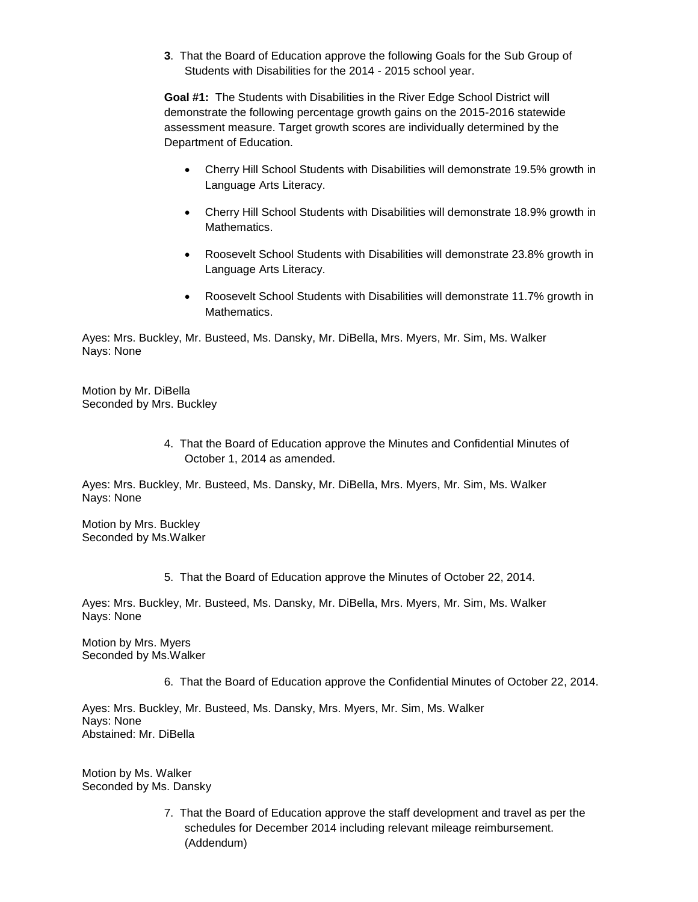**3**. That the Board of Education approve the following Goals for the Sub Group of Students with Disabilities for the 2014 - 2015 school year.

**Goal #1:** The Students with Disabilities in the River Edge School District will demonstrate the following percentage growth gains on the 2015-2016 statewide assessment measure. Target growth scores are individually determined by the Department of Education.

- Cherry Hill School Students with Disabilities will demonstrate 19.5% growth in Language Arts Literacy.
- Cherry Hill School Students with Disabilities will demonstrate 18.9% growth in Mathematics.
- Roosevelt School Students with Disabilities will demonstrate 23.8% growth in Language Arts Literacy.
- Roosevelt School Students with Disabilities will demonstrate 11.7% growth in Mathematics.

Ayes: Mrs. Buckley, Mr. Busteed, Ms. Dansky, Mr. DiBella, Mrs. Myers, Mr. Sim, Ms. Walker Nays: None

Motion by Mr. DiBella Seconded by Mrs. Buckley

> 4. That the Board of Education approve the Minutes and Confidential Minutes of October 1, 2014 as amended.

Ayes: Mrs. Buckley, Mr. Busteed, Ms. Dansky, Mr. DiBella, Mrs. Myers, Mr. Sim, Ms. Walker Nays: None

Motion by Mrs. Buckley Seconded by Ms.Walker

5. That the Board of Education approve the Minutes of October 22, 2014.

Ayes: Mrs. Buckley, Mr. Busteed, Ms. Dansky, Mr. DiBella, Mrs. Myers, Mr. Sim, Ms. Walker Nays: None

Motion by Mrs. Myers Seconded by Ms.Walker

6. That the Board of Education approve the Confidential Minutes of October 22, 2014.

Ayes: Mrs. Buckley, Mr. Busteed, Ms. Dansky, Mrs. Myers, Mr. Sim, Ms. Walker Nays: None Abstained: Mr. DiBella

Motion by Ms. Walker Seconded by Ms. Dansky

> 7. That the Board of Education approve the staff development and travel as per the schedules for December 2014 including relevant mileage reimbursement. (Addendum)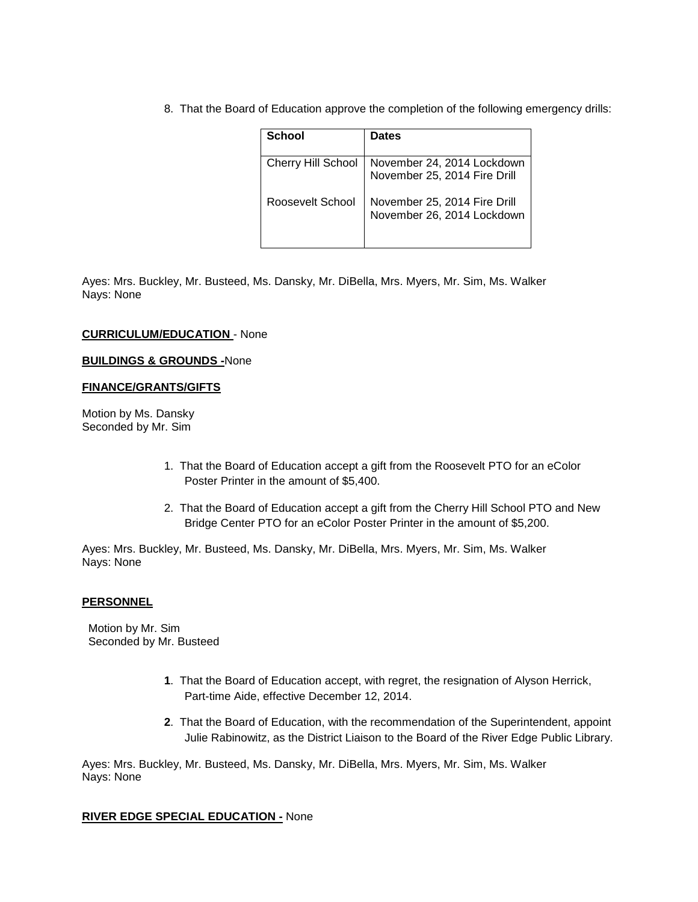8. That the Board of Education approve the completion of the following emergency drills:

| School                    | <b>Dates</b>                 |
|---------------------------|------------------------------|
|                           |                              |
| <b>Cherry Hill School</b> | November 24, 2014 Lockdown   |
|                           | November 25, 2014 Fire Drill |
| Roosevelt School          | November 25, 2014 Fire Drill |
|                           | November 26, 2014 Lockdown   |
|                           |                              |

Ayes: Mrs. Buckley, Mr. Busteed, Ms. Dansky, Mr. DiBella, Mrs. Myers, Mr. Sim, Ms. Walker Nays: None

#### **CURRICULUM/EDUCATION** - None

#### **BUILDINGS & GROUNDS -**None

#### **FINANCE/GRANTS/GIFTS**

Motion by Ms. Dansky Seconded by Mr. Sim

- 1. That the Board of Education accept a gift from the Roosevelt PTO for an eColor Poster Printer in the amount of \$5,400.
- 2. That the Board of Education accept a gift from the Cherry Hill School PTO and New Bridge Center PTO for an eColor Poster Printer in the amount of \$5,200.

Ayes: Mrs. Buckley, Mr. Busteed, Ms. Dansky, Mr. DiBella, Mrs. Myers, Mr. Sim, Ms. Walker Nays: None

#### **PERSONNEL**

 Motion by Mr. Sim Seconded by Mr. Busteed

- **1**. That the Board of Education accept, with regret, the resignation of Alyson Herrick, Part-time Aide, effective December 12, 2014.
- **2**. That the Board of Education, with the recommendation of the Superintendent, appoint Julie Rabinowitz, as the District Liaison to the Board of the River Edge Public Library.

Ayes: Mrs. Buckley, Mr. Busteed, Ms. Dansky, Mr. DiBella, Mrs. Myers, Mr. Sim, Ms. Walker Nays: None

#### **RIVER EDGE SPECIAL EDUCATION -** None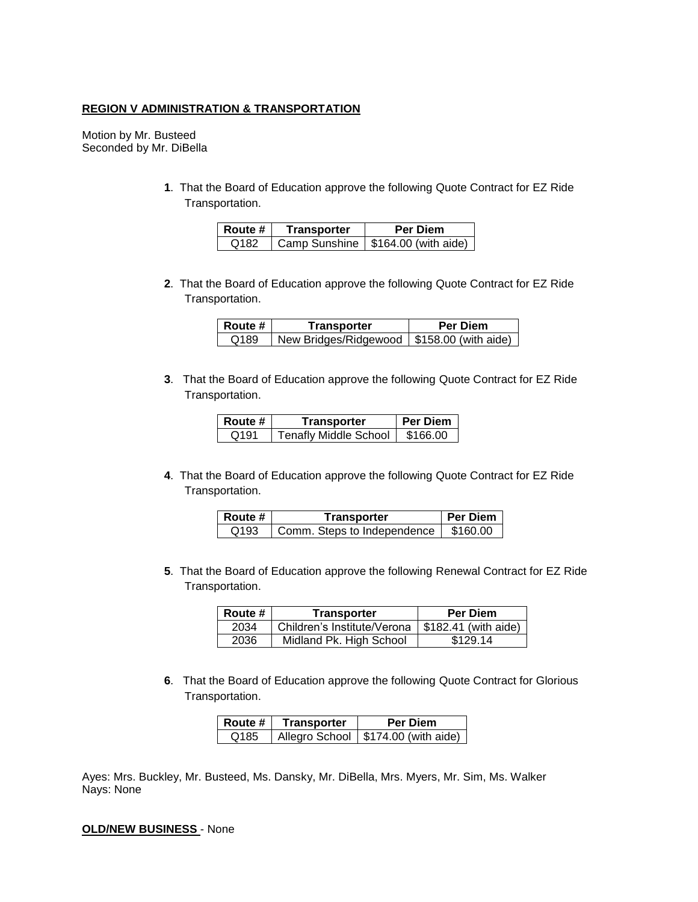### **REGION V ADMINISTRATION & TRANSPORTATION**

Motion by Mr. Busteed Seconded by Mr. DiBella

> **1**. That the Board of Education approve the following Quote Contract for EZ Ride Transportation.

| Route # | Transporter | <b>Per Diem</b>                      |
|---------|-------------|--------------------------------------|
| Q182    |             | Camp Sunshine   \$164.00 (with aide) |

**2**. That the Board of Education approve the following Quote Contract for EZ Ride Transportation.

| Route # | Transporter                                  | <b>Per Diem</b> |
|---------|----------------------------------------------|-----------------|
| Q189    | New Bridges/Ridgewood   \$158.00 (with aide) |                 |

**3**. That the Board of Education approve the following Quote Contract for EZ Ride Transportation.

| Route # | Transporter                  | <b>Per Diem</b> |
|---------|------------------------------|-----------------|
| Q191    | <b>Tenafly Middle School</b> | \$166.00        |

**4**. That the Board of Education approve the following Quote Contract for EZ Ride Transportation.

| Route # | Transporter                 | <b>Per Diem</b> |
|---------|-----------------------------|-----------------|
| Q193    | Comm. Steps to Independence | \$160.00        |

**5**. That the Board of Education approve the following Renewal Contract for EZ Ride Transportation.

| Route # | Transporter                                        | <b>Per Diem</b> |
|---------|----------------------------------------------------|-----------------|
| 2034    | Children's Institute/Verona   \$182.41 (with aide) |                 |
| 2036    | Midland Pk. High School                            | \$129.14        |

**6**. That the Board of Education approve the following Quote Contract for Glorious Transportation.

| <b>Route</b> # | <b>Transporter</b> | <b>Per Diem</b>                       |
|----------------|--------------------|---------------------------------------|
| Q185           |                    | Allegro School   \$174.00 (with aide) |

Ayes: Mrs. Buckley, Mr. Busteed, Ms. Dansky, Mr. DiBella, Mrs. Myers, Mr. Sim, Ms. Walker Nays: None

**OLD/NEW BUSINESS** - None